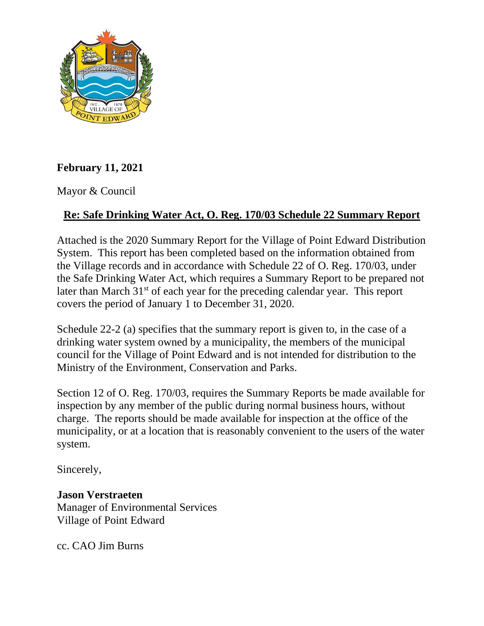

## **February 11, 2021**

Mayor & Council

## **Re: Safe Drinking Water Act, O. Reg. 170/03 Schedule 22 Summary Report**

Attached is the 2020 Summary Report for the Village of Point Edward Distribution System. This report has been completed based on the information obtained from the Village records and in accordance with Schedule 22 of O. Reg. 170/03, under the Safe Drinking Water Act, which requires a Summary Report to be prepared not later than March 31<sup>st</sup> of each year for the preceding calendar year. This report covers the period of January 1 to December 31, 2020.

Schedule 22-2 (a) specifies that the summary report is given to, in the case of a drinking water system owned by a municipality, the members of the municipal council for the Village of Point Edward and is not intended for distribution to the Ministry of the Environment, Conservation and Parks.

Section 12 of O. Reg. 170/03, requires the Summary Reports be made available for inspection by any member of the public during normal business hours, without charge. The reports should be made available for inspection at the office of the municipality, or at a location that is reasonably convenient to the users of the water system.

Sincerely,

## **Jason Verstraeten**

Manager of Environmental Services Village of Point Edward

cc. CAO Jim Burns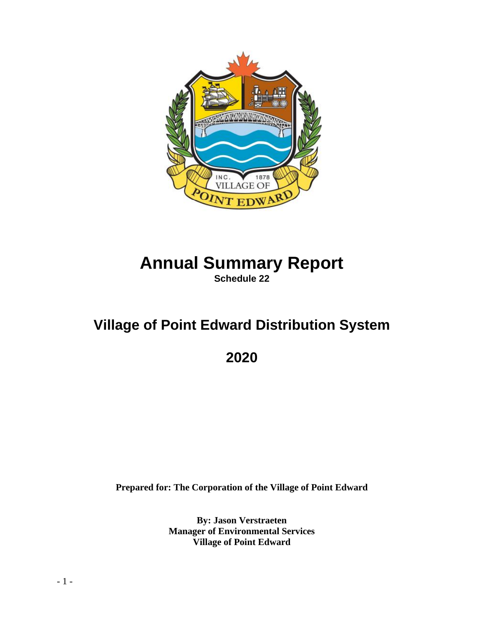

# **Annual Summary Report Schedule 22**

# **Village of Point Edward Distribution System**

**2020**

**Prepared for: The Corporation of the Village of Point Edward**

**By: Jason Verstraeten Manager of Environmental Services Village of Point Edward**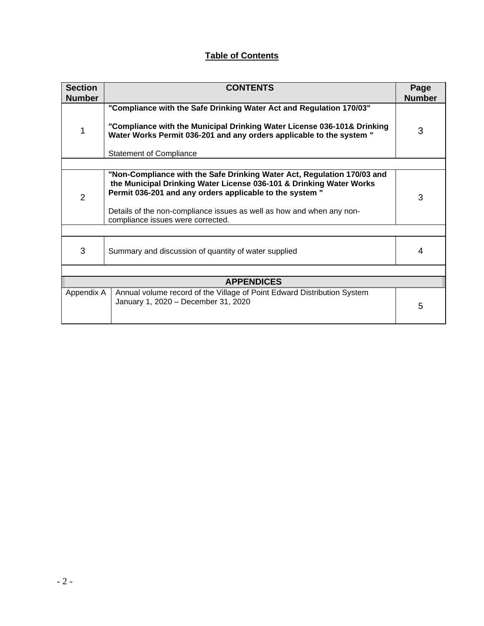### **Table of Contents**

| <b>Section</b><br><b>Number</b> | <b>CONTENTS</b>                                                                                                                                                                                                                                                                     |               |  |  |  |  |
|---------------------------------|-------------------------------------------------------------------------------------------------------------------------------------------------------------------------------------------------------------------------------------------------------------------------------------|---------------|--|--|--|--|
|                                 | "Compliance with the Safe Drinking Water Act and Regulation 170/03"                                                                                                                                                                                                                 | <b>Number</b> |  |  |  |  |
| 1                               | "Compliance with the Municipal Drinking Water License 036-101& Drinking<br>Water Works Permit 036-201 and any orders applicable to the system "                                                                                                                                     | 3             |  |  |  |  |
|                                 | <b>Statement of Compliance</b>                                                                                                                                                                                                                                                      |               |  |  |  |  |
|                                 |                                                                                                                                                                                                                                                                                     |               |  |  |  |  |
| $\overline{2}$                  | "Non-Compliance with the Safe Drinking Water Act, Regulation 170/03 and<br>the Municipal Drinking Water License 036-101 & Drinking Water Works<br>Permit 036-201 and any orders applicable to the system "<br>Details of the non-compliance issues as well as how and when any non- |               |  |  |  |  |
|                                 | compliance issues were corrected.                                                                                                                                                                                                                                                   |               |  |  |  |  |
|                                 |                                                                                                                                                                                                                                                                                     |               |  |  |  |  |
| 3                               | Summary and discussion of quantity of water supplied                                                                                                                                                                                                                                |               |  |  |  |  |
|                                 |                                                                                                                                                                                                                                                                                     |               |  |  |  |  |
| <b>APPENDICES</b>               |                                                                                                                                                                                                                                                                                     |               |  |  |  |  |
| Appendix A                      | Annual volume record of the Village of Point Edward Distribution System<br>January 1, 2020 - December 31, 2020                                                                                                                                                                      | 5             |  |  |  |  |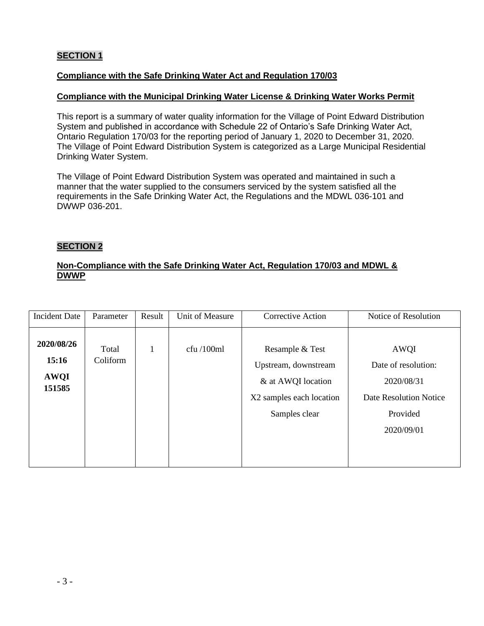#### **SECTION 1**

#### **Compliance with the Safe Drinking Water Act and Regulation 170/03**

#### **Compliance with the Municipal Drinking Water License & Drinking Water Works Permit**

This report is a summary of water quality information for the Village of Point Edward Distribution System and published in accordance with Schedule 22 of Ontario's Safe Drinking Water Act, Ontario Regulation 170/03 for the reporting period of January 1, 2020 to December 31, 2020. The Village of Point Edward Distribution System is categorized as a Large Municipal Residential Drinking Water System.

The Village of Point Edward Distribution System was operated and maintained in such a manner that the water supplied to the consumers serviced by the system satisfied all the requirements in the Safe Drinking Water Act, the Regulations and the MDWL 036-101 and DWWP 036-201.

#### **SECTION 2**

#### **Non-Compliance with the Safe Drinking Water Act, Regulation 170/03 and MDWL & DWWP**

| <b>Incident Date</b>                         | Parameter         | Result       | Unit of Measure | <b>Corrective Action</b>                                                                                   | Notice of Resolution                                                                                        |
|----------------------------------------------|-------------------|--------------|-----------------|------------------------------------------------------------------------------------------------------------|-------------------------------------------------------------------------------------------------------------|
| 2020/08/26<br>15:16<br><b>AWQI</b><br>151585 | Total<br>Coliform | $\mathbf{1}$ | cfu/100ml       | Resample & Test<br>Upstream, downstream<br>& at AWQI location<br>X2 samples each location<br>Samples clear | <b>AWQI</b><br>Date of resolution:<br>2020/08/31<br><b>Date Resolution Notice</b><br>Provided<br>2020/09/01 |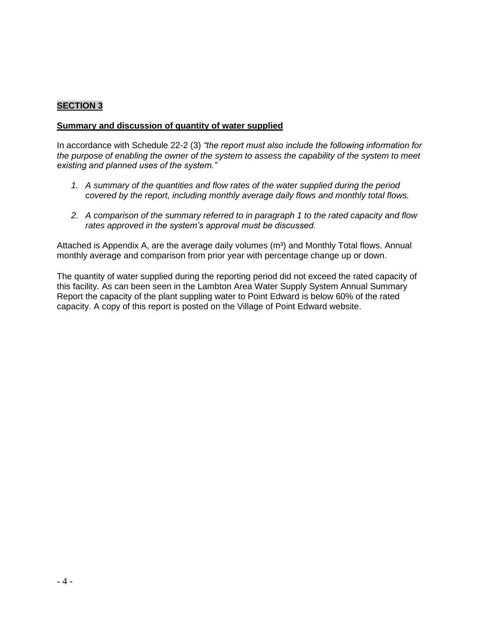#### **SECTION 3**

#### **Summary and discussion of quantity of water supplied**

In accordance with Schedule 22-2 (3) *"the report must also include the following information for the purpose of enabling the owner of the system to assess the capability of the system to meet existing and planned uses of the system."*

- *1. A summary of the quantities and flow rates of the water supplied during the period covered by the report, including monthly average daily flows and monthly total flows.*
- *2. A comparison of the summary referred to in paragraph 1 to the rated capacity and flow rates approved in the system's approval must be discussed.*

Attached is Appendix A, are the average daily volumes  $(m<sup>3</sup>)$  and Monthly Total flows. Annual monthly average and comparison from prior year with percentage change up or down.

The quantity of water supplied during the reporting period did not exceed the rated capacity of this facility. As can been seen in the Lambton Area Water Supply System Annual Summary Report the capacity of the plant suppling water to Point Edward is below 60% of the rated capacity. A copy of this report is posted on the Village of Point Edward website.